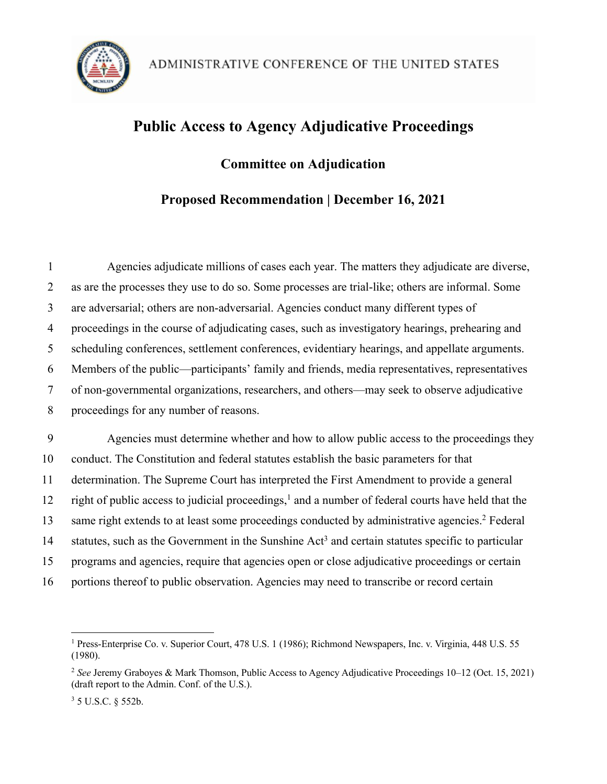

# **Public Access to Agency Adjudicative Proceedings**

## **Committee on Adjudication**

## **Proposed Recommendation | December 16, 2021**

| 1      | Agencies adjudicate millions of cases each year. The matters they adjudicate are diverse,                      |
|--------|----------------------------------------------------------------------------------------------------------------|
| 2      | as are the processes they use to do so. Some processes are trial-like; others are informal. Some               |
| 3      | are adversarial; others are non-adversarial. Agencies conduct many different types of                          |
| 4      | proceedings in the course of adjudicating cases, such as investigatory hearings, prehearing and                |
| 5      | scheduling conferences, settlement conferences, evidentiary hearings, and appellate arguments.                 |
| 6      | Members of the public—participants' family and friends, media representatives, representatives                 |
| $\tau$ | of non-governmental organizations, researchers, and others—may seek to observe adjudicative                    |
| 8      | proceedings for any number of reasons.                                                                         |
|        |                                                                                                                |
| 9      | Agencies must determine whether and how to allow public access to the proceedings they                         |
| 10     | conduct. The Constitution and federal statutes establish the basic parameters for that                         |
| 11     | determination. The Supreme Court has interpreted the First Amendment to provide a general                      |
| 12     | right of public access to judicial proceedings, <sup>1</sup> and a number of federal courts have held that the |
| 13     | same right extends to at least some proceedings conducted by administrative agencies. <sup>2</sup> Federal     |
| 14     | statutes, such as the Government in the Sunshine Act <sup>3</sup> and certain statutes specific to particular  |
| 15     | programs and agencies, require that agencies open or close adjudicative proceedings or certain                 |
| 16     | portions thereof to public observation. Agencies may need to transcribe or record certain                      |

<sup>&</sup>lt;sup>1</sup> Press-Enterprise Co. v. Superior Court, 478 U.S. 1 (1986); Richmond Newspapers, Inc. v. Virginia, 448 U.S. 55 (1980).

<sup>2</sup> *See* Jeremy Graboyes & Mark Thomson, Public Access to Agency Adjudicative Proceedings 10–12 (Oct. 15, 2021) (draft report to the Admin. Conf. of the U.S.).

<sup>3</sup> 5 U.S.C. § 552b.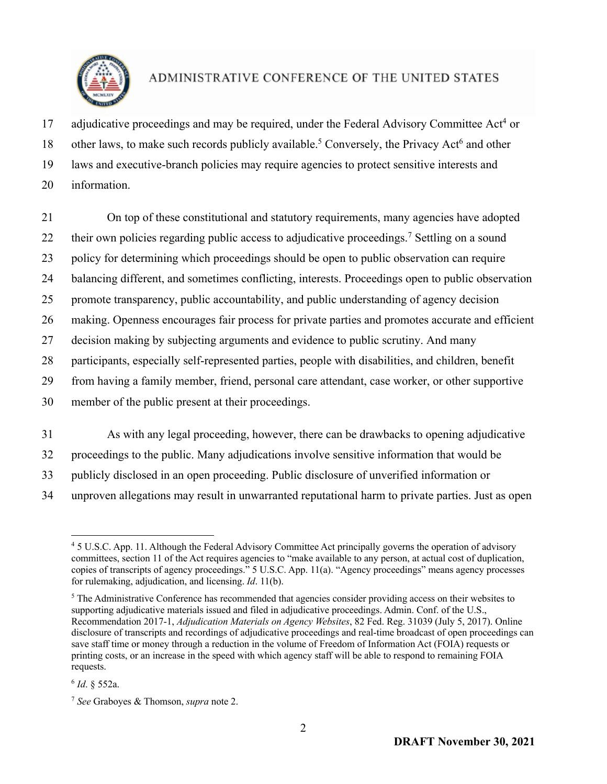

17 adjudicative proceedings and may be required, under the Federal Advisory Committee Act<sup>4</sup> or

18 other laws, to make such records publicly available.<sup>5</sup> Conversely, the Privacy Act<sup>6</sup> and other

19 laws and executive-branch policies may require agencies to protect sensitive interests and

20 information.

21 On top of these constitutional and statutory requirements, many agencies have adopted 22 their own policies regarding public access to adjudicative proceedings.<sup>7</sup> Settling on a sound

23 policy for determining which proceedings should be open to public observation can require

24 balancing different, and sometimes conflicting, interests. Proceedings open to public observation

25 promote transparency, public accountability, and public understanding of agency decision

26 making. Openness encourages fair process for private parties and promotes accurate and efficient

27 decision making by subjecting arguments and evidence to public scrutiny. And many

28 participants, especially self-represented parties, people with disabilities, and children, benefit

29 from having a family member, friend, personal care attendant, case worker, or other supportive

30 member of the public present at their proceedings.

31 As with any legal proceeding, however, there can be drawbacks to opening adjudicative

32 proceedings to the public. Many adjudications involve sensitive information that would be

33 publicly disclosed in an open proceeding. Public disclosure of unverified information or

34 unproven allegations may result in unwarranted reputational harm to private parties. Just as open

<sup>4</sup> 5 U.S.C. App. 11. Although the Federal Advisory Committee Act principally governs the operation of advisory committees, section 11 of the Act requires agencies to "make available to any person, at actual cost of duplication, copies of transcripts of agency proceedings." 5 U.S.C. App. 11(a). "Agency proceedings" means agency processes for rulemaking, adjudication, and licensing. *Id*. 11(b).

<sup>5</sup> The Administrative Conference has recommended that agencies consider providing access on their websites to supporting adjudicative materials issued and filed in adjudicative proceedings. Admin. Conf. of the U.S., Recommendation 2017-1, *Adjudication Materials on Agency Websites*, 82 Fed. Reg. 31039 (July 5, 2017). Online disclosure of transcripts and recordings of adjudicative proceedings and real-time broadcast of open proceedings can save staff time or money through a reduction in the volume of Freedom of Information Act (FOIA) requests or printing costs, or an increase in the speed with which agency staff will be able to respond to remaining FOIA requests.

<sup>6</sup> *Id*. § 552a.

<sup>7</sup> *See* Graboyes & Thomson, *supra* note 2.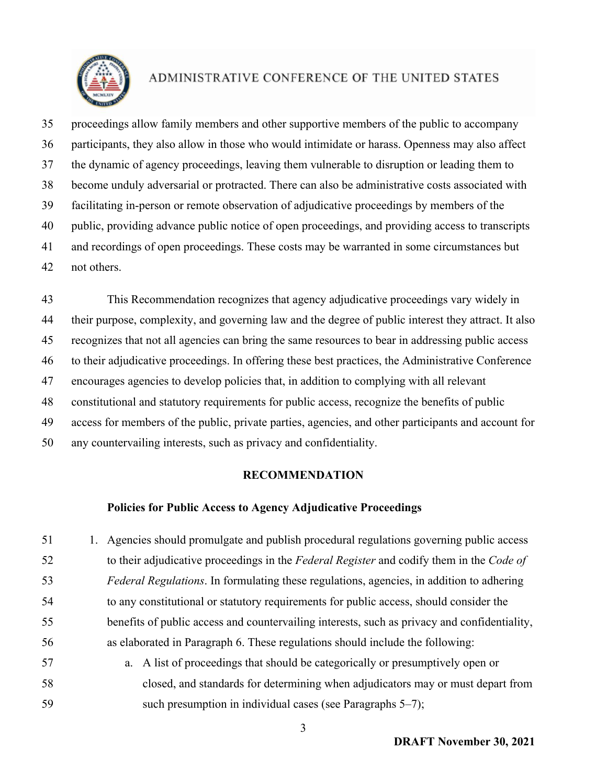

 proceedings allow family members and other supportive members of the public to accompany participants, they also allow in those who would intimidate or harass. Openness may also affect the dynamic of agency proceedings, leaving them vulnerable to disruption or leading them to become unduly adversarial or protracted. There can also be administrative costs associated with facilitating in-person or remote observation of adjudicative proceedings by members of the public, providing advance public notice of open proceedings, and providing access to transcripts and recordings of open proceedings. These costs may be warranted in some circumstances but not others.

 This Recommendation recognizes that agency adjudicative proceedings vary widely in their purpose, complexity, and governing law and the degree of public interest they attract. It also recognizes that not all agencies can bring the same resources to bear in addressing public access to their adjudicative proceedings. In offering these best practices, the Administrative Conference encourages agencies to develop policies that, in addition to complying with all relevant constitutional and statutory requirements for public access, recognize the benefits of public access for members of the public, private parties, agencies, and other participants and account for any countervailing interests, such as privacy and confidentiality.

### **RECOMMENDATION**

### **Policies for Public Access to Agency Adjudicative Proceedings**

 1. Agencies should promulgate and publish procedural regulations governing public access to their adjudicative proceedings in the *Federal Register* and codify them in the *Code of Federal Regulations*. In formulating these regulations, agencies, in addition to adhering to any constitutional or statutory requirements for public access, should consider the benefits of public access and countervailing interests, such as privacy and confidentiality, as elaborated in Paragraph 6. These regulations should include the following: a. A list of proceedings that should be categorically or presumptively open or closed, and standards for determining when adjudicators may or must depart from such presumption in individual cases (see Paragraphs 5–7);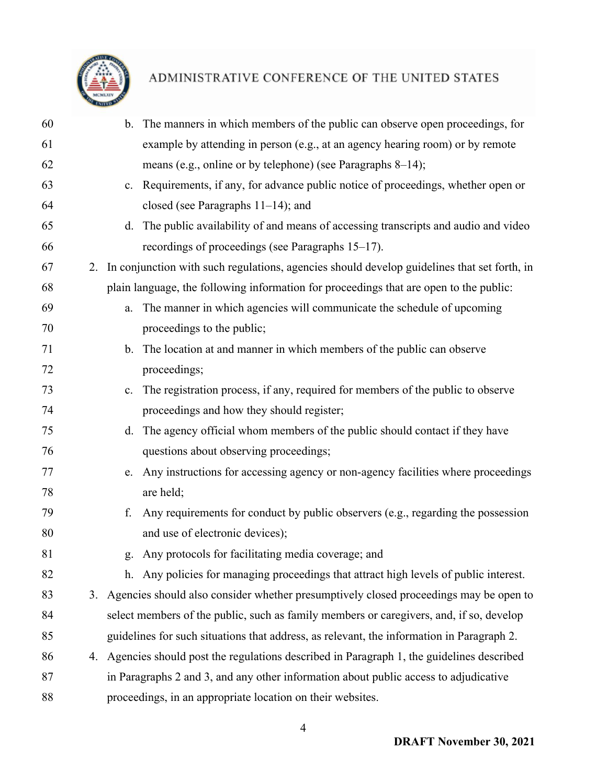

| 60 |    |    | b. The manners in which members of the public can observe open proceedings, for                |
|----|----|----|------------------------------------------------------------------------------------------------|
| 61 |    |    | example by attending in person (e.g., at an agency hearing room) or by remote                  |
| 62 |    |    | means (e.g., online or by telephone) (see Paragraphs 8–14);                                    |
| 63 |    |    | c. Requirements, if any, for advance public notice of proceedings, whether open or             |
| 64 |    |    | closed (see Paragraphs $11-14$ ); and                                                          |
| 65 |    |    | d. The public availability of and means of accessing transcripts and audio and video           |
| 66 |    |    | recordings of proceedings (see Paragraphs 15–17).                                              |
| 67 |    |    | 2. In conjunction with such regulations, agencies should develop guidelines that set forth, in |
| 68 |    |    | plain language, the following information for proceedings that are open to the public:         |
| 69 |    | a. | The manner in which agencies will communicate the schedule of upcoming                         |
| 70 |    |    | proceedings to the public;                                                                     |
| 71 |    |    | b. The location at and manner in which members of the public can observe                       |
| 72 |    |    | proceedings;                                                                                   |
| 73 |    | c. | The registration process, if any, required for members of the public to observe                |
| 74 |    |    | proceedings and how they should register;                                                      |
| 75 |    |    | d. The agency official whom members of the public should contact if they have                  |
| 76 |    |    | questions about observing proceedings;                                                         |
| 77 |    | e. | Any instructions for accessing agency or non-agency facilities where proceedings               |
| 78 |    |    | are held;                                                                                      |
| 79 |    | f. | Any requirements for conduct by public observers (e.g., regarding the possession               |
| 80 |    |    | and use of electronic devices);                                                                |
| 81 |    |    | g. Any protocols for facilitating media coverage; and                                          |
| 82 |    |    | h. Any policies for managing proceedings that attract high levels of public interest.          |
| 83 | 3. |    | Agencies should also consider whether presumptively closed proceedings may be open to          |
| 84 |    |    | select members of the public, such as family members or caregivers, and, if so, develop        |
| 85 |    |    | guidelines for such situations that address, as relevant, the information in Paragraph 2.      |
| 86 | 4. |    | Agencies should post the regulations described in Paragraph 1, the guidelines described        |
| 87 |    |    | in Paragraphs 2 and 3, and any other information about public access to adjudicative           |
| 88 |    |    | proceedings, in an appropriate location on their websites.                                     |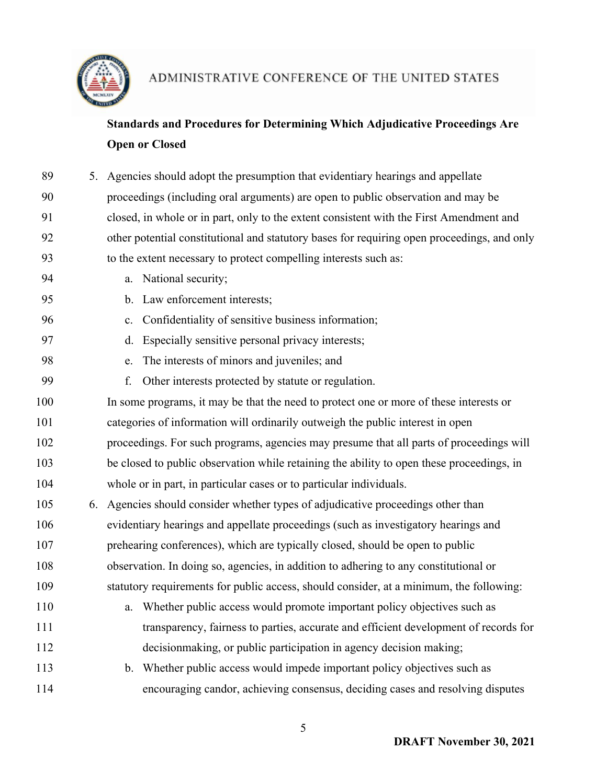

## **Standards and Procedures for Determining Which Adjudicative Proceedings Are Open or Closed**

| 89  |    | 5. Agencies should adopt the presumption that evidentiary hearings and appellate            |  |  |  |
|-----|----|---------------------------------------------------------------------------------------------|--|--|--|
| 90  |    | proceedings (including oral arguments) are open to public observation and may be            |  |  |  |
| 91  |    | closed, in whole or in part, only to the extent consistent with the First Amendment and     |  |  |  |
| 92  |    | other potential constitutional and statutory bases for requiring open proceedings, and only |  |  |  |
| 93  |    | to the extent necessary to protect compelling interests such as:                            |  |  |  |
| 94  |    | a. National security;                                                                       |  |  |  |
| 95  |    | Law enforcement interests;<br>$\mathbf{b}$ .                                                |  |  |  |
| 96  |    | Confidentiality of sensitive business information;<br>c.                                    |  |  |  |
| 97  |    | Especially sensitive personal privacy interests;<br>$\mathbf{d}$ .                          |  |  |  |
| 98  |    | The interests of minors and juveniles; and<br>e.                                            |  |  |  |
| 99  |    | Other interests protected by statute or regulation.<br>f.                                   |  |  |  |
| 100 |    | In some programs, it may be that the need to protect one or more of these interests or      |  |  |  |
| 101 |    | categories of information will ordinarily outweigh the public interest in open              |  |  |  |
| 102 |    | proceedings. For such programs, agencies may presume that all parts of proceedings will     |  |  |  |
| 103 |    | be closed to public observation while retaining the ability to open these proceedings, in   |  |  |  |
| 104 |    | whole or in part, in particular cases or to particular individuals.                         |  |  |  |
| 105 | 6. | Agencies should consider whether types of adjudicative proceedings other than               |  |  |  |
| 106 |    | evidentiary hearings and appellate proceedings (such as investigatory hearings and          |  |  |  |
| 107 |    | prehearing conferences), which are typically closed, should be open to public               |  |  |  |
| 108 |    | observation. In doing so, agencies, in addition to adhering to any constitutional or        |  |  |  |
| 109 |    | statutory requirements for public access, should consider, at a minimum, the following:     |  |  |  |
| 110 |    | a. Whether public access would promote important policy objectives such as                  |  |  |  |
| 111 |    | transparency, fairness to parties, accurate and efficient development of records for        |  |  |  |
| 112 |    | decisionmaking, or public participation in agency decision making;                          |  |  |  |
| 113 |    | b. Whether public access would impede important policy objectives such as                   |  |  |  |
| 114 |    | encouraging candor, achieving consensus, deciding cases and resolving disputes              |  |  |  |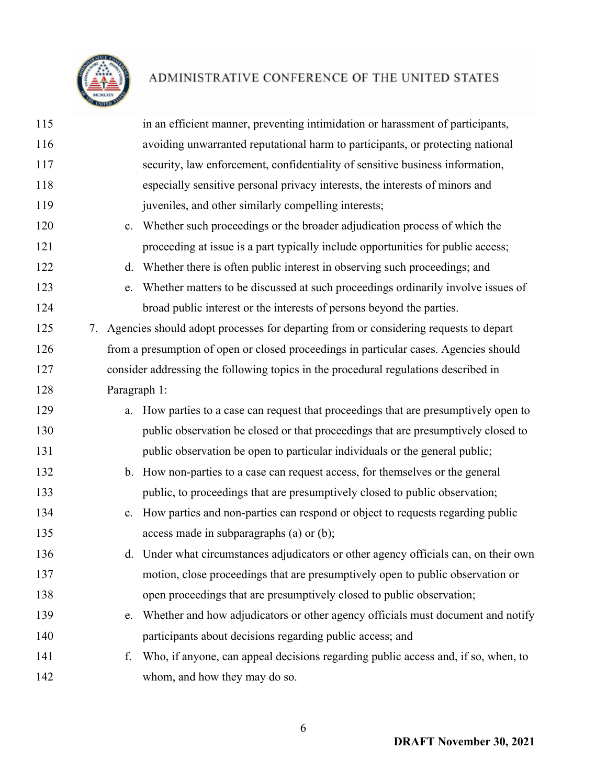

| 115 |              | in an efficient manner, preventing intimidation or harassment of participants,          |
|-----|--------------|-----------------------------------------------------------------------------------------|
| 116 |              | avoiding unwarranted reputational harm to participants, or protecting national          |
| 117 |              | security, law enforcement, confidentiality of sensitive business information,           |
| 118 |              | especially sensitive personal privacy interests, the interests of minors and            |
| 119 |              | juveniles, and other similarly compelling interests;                                    |
| 120 | c.           | Whether such proceedings or the broader adjudication process of which the               |
| 121 |              | proceeding at issue is a part typically include opportunities for public access;        |
| 122 | d.           | Whether there is often public interest in observing such proceedings; and               |
| 123 | e.           | Whether matters to be discussed at such proceedings ordinarily involve issues of        |
| 124 |              | broad public interest or the interests of persons beyond the parties.                   |
| 125 |              | 7. Agencies should adopt processes for departing from or considering requests to depart |
| 126 |              | from a presumption of open or closed proceedings in particular cases. Agencies should   |
| 127 |              | consider addressing the following topics in the procedural regulations described in     |
| 128 | Paragraph 1: |                                                                                         |
| 129 |              | How parties to a case can request that proceedings that are presumptively open to       |
| 130 |              | public observation be closed or that proceedings that are presumptively closed to       |
| 131 |              | public observation be open to particular individuals or the general public;             |
| 132 |              | b. How non-parties to a case can request access, for themselves or the general          |
| 133 |              | public, to proceedings that are presumptively closed to public observation;             |
| 134 |              | c. How parties and non-parties can respond or object to requests regarding public       |
| 135 |              | access made in subparagraphs (a) or (b);                                                |
| 136 |              | d. Under what circumstances adjudicators or other agency officials can, on their own    |
| 137 |              | motion, close proceedings that are presumptively open to public observation or          |
| 138 |              | open proceedings that are presumptively closed to public observation;                   |
| 139 | e.           | Whether and how adjudicators or other agency officials must document and notify         |
| 140 |              | participants about decisions regarding public access; and                               |
| 141 | f.           | Who, if anyone, can appeal decisions regarding public access and, if so, when, to       |
| 142 |              | whom, and how they may do so.                                                           |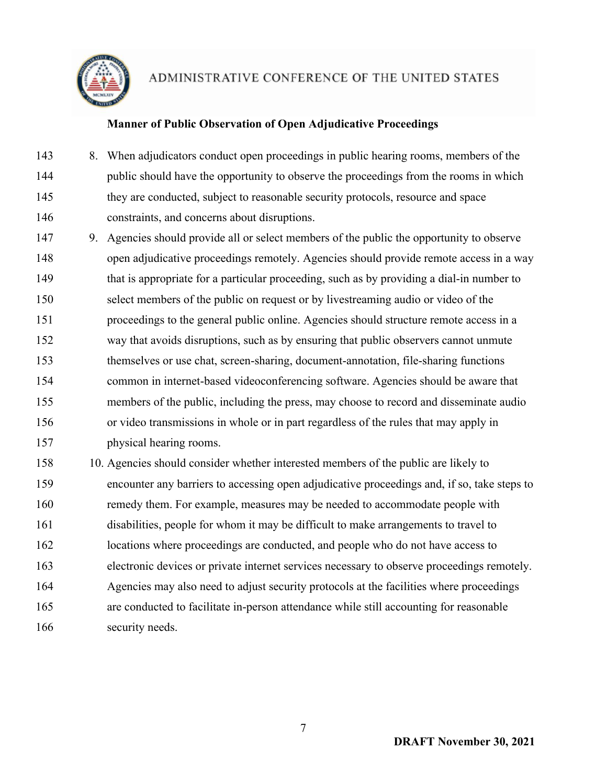

### **Manner of Public Observation of Open Adjudicative Proceedings**

- 8. When adjudicators conduct open proceedings in public hearing rooms, members of the public should have the opportunity to observe the proceedings from the rooms in which they are conducted, subject to reasonable security protocols, resource and space constraints, and concerns about disruptions.
- 9. Agencies should provide all or select members of the public the opportunity to observe open adjudicative proceedings remotely. Agencies should provide remote access in a way that is appropriate for a particular proceeding, such as by providing a dial-in number to select members of the public on request or by livestreaming audio or video of the proceedings to the general public online. Agencies should structure remote access in a way that avoids disruptions, such as by ensuring that public observers cannot unmute themselves or use chat, screen-sharing, document-annotation, file-sharing functions common in internet-based videoconferencing software. Agencies should be aware that members of the public, including the press, may choose to record and disseminate audio or video transmissions in whole or in part regardless of the rules that may apply in physical hearing rooms.
- 10. Agencies should consider whether interested members of the public are likely to encounter any barriers to accessing open adjudicative proceedings and, if so, take steps to remedy them. For example, measures may be needed to accommodate people with disabilities, people for whom it may be difficult to make arrangements to travel to locations where proceedings are conducted, and people who do not have access to electronic devices or private internet services necessary to observe proceedings remotely. Agencies may also need to adjust security protocols at the facilities where proceedings are conducted to facilitate in-person attendance while still accounting for reasonable security needs.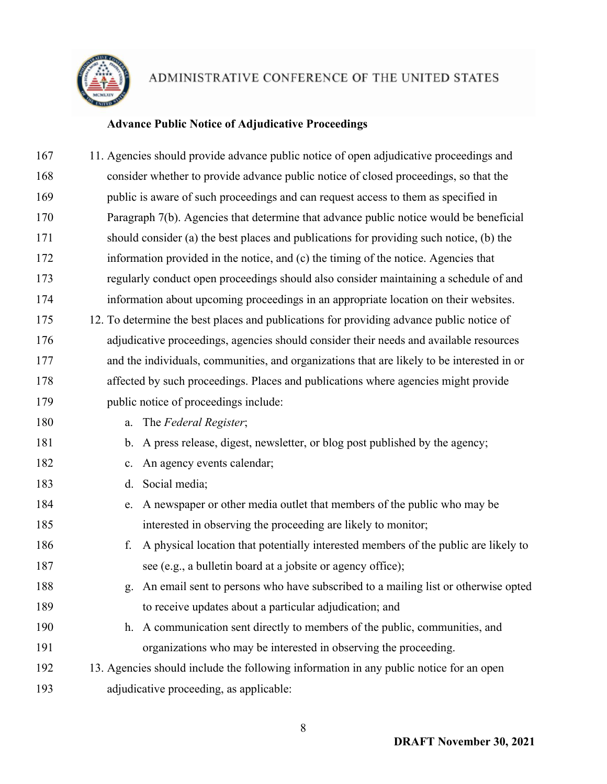

## **Advance Public Notice of Adjudicative Proceedings**

| 11. Agencies should provide advance public notice of open adjudicative proceedings and       |
|----------------------------------------------------------------------------------------------|
| consider whether to provide advance public notice of closed proceedings, so that the         |
| public is aware of such proceedings and can request access to them as specified in           |
| Paragraph 7(b). Agencies that determine that advance public notice would be beneficial       |
| should consider (a) the best places and publications for providing such notice, (b) the      |
| information provided in the notice, and (c) the timing of the notice. Agencies that          |
| regularly conduct open proceedings should also consider maintaining a schedule of and        |
| information about upcoming proceedings in an appropriate location on their websites.         |
| 12. To determine the best places and publications for providing advance public notice of     |
| adjudicative proceedings, agencies should consider their needs and available resources       |
| and the individuals, communities, and organizations that are likely to be interested in or   |
| affected by such proceedings. Places and publications where agencies might provide           |
| public notice of proceedings include:                                                        |
| The Federal Register;<br>a.                                                                  |
| A press release, digest, newsletter, or blog post published by the agency;<br>$\mathbf{b}$ . |
| An agency events calendar;<br>c.                                                             |
| Social media;<br>d.                                                                          |
| A newspaper or other media outlet that members of the public who may be<br>e.                |
| interested in observing the proceeding are likely to monitor;                                |
| A physical location that potentially interested members of the public are likely to<br>f.    |
| see (e.g., a bulletin board at a jobsite or agency office);                                  |
| An email sent to persons who have subscribed to a mailing list or otherwise opted<br>g.      |
| to receive updates about a particular adjudication; and                                      |
| A communication sent directly to members of the public, communities, and<br>h.               |
| organizations who may be interested in observing the proceeding.                             |
| 13. Agencies should include the following information in any public notice for an open       |
| adjudicative proceeding, as applicable:                                                      |
|                                                                                              |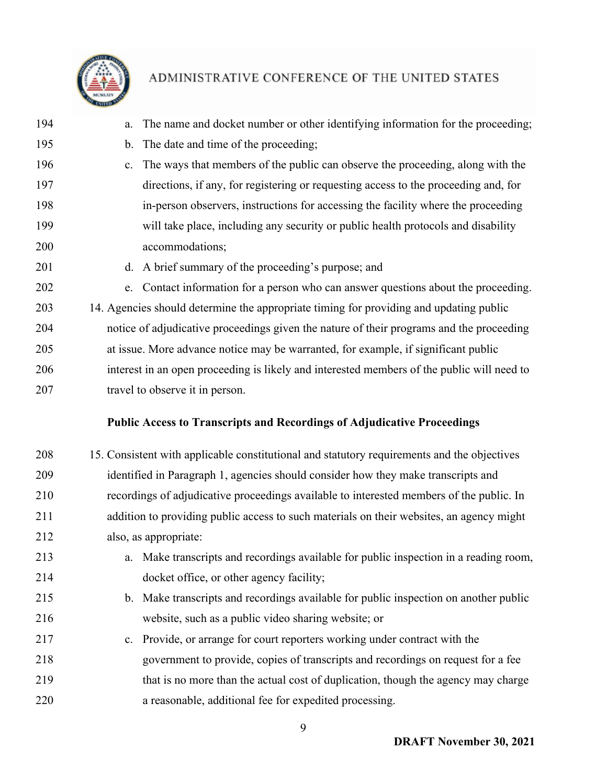

- a. The name and docket number or other identifying information for the proceeding; b. The date and time of the proceeding; c. The ways that members of the public can observe the proceeding, along with the directions, if any, for registering or requesting access to the proceeding and, for in-person observers, instructions for accessing the facility where the proceeding will take place, including any security or public health protocols and disability accommodations; 201 d. A brief summary of the proceeding's purpose; and e. Contact information for a person who can answer questions about the proceeding. 14. Agencies should determine the appropriate timing for providing and updating public notice of adjudicative proceedings given the nature of their programs and the proceeding at issue. More advance notice may be warranted, for example, if significant public interest in an open proceeding is likely and interested members of the public will need to travel to observe it in person. **Public Access to Transcripts and Recordings of Adjudicative Proceedings** 15. Consistent with applicable constitutional and statutory requirements and the objectives identified in Paragraph 1, agencies should consider how they make transcripts and
- recordings of adjudicative proceedings available to interested members of the public. In addition to providing public access to such materials on their websites, an agency might also, as appropriate:
- a. Make transcripts and recordings available for public inspection in a reading room, 214 docket office, or other agency facility;
- b. Make transcripts and recordings available for public inspection on another public website, such as a public video sharing website; or
- c. Provide, or arrange for court reporters working under contract with the government to provide, copies of transcripts and recordings on request for a fee that is no more than the actual cost of duplication, though the agency may charge a reasonable, additional fee for expedited processing.